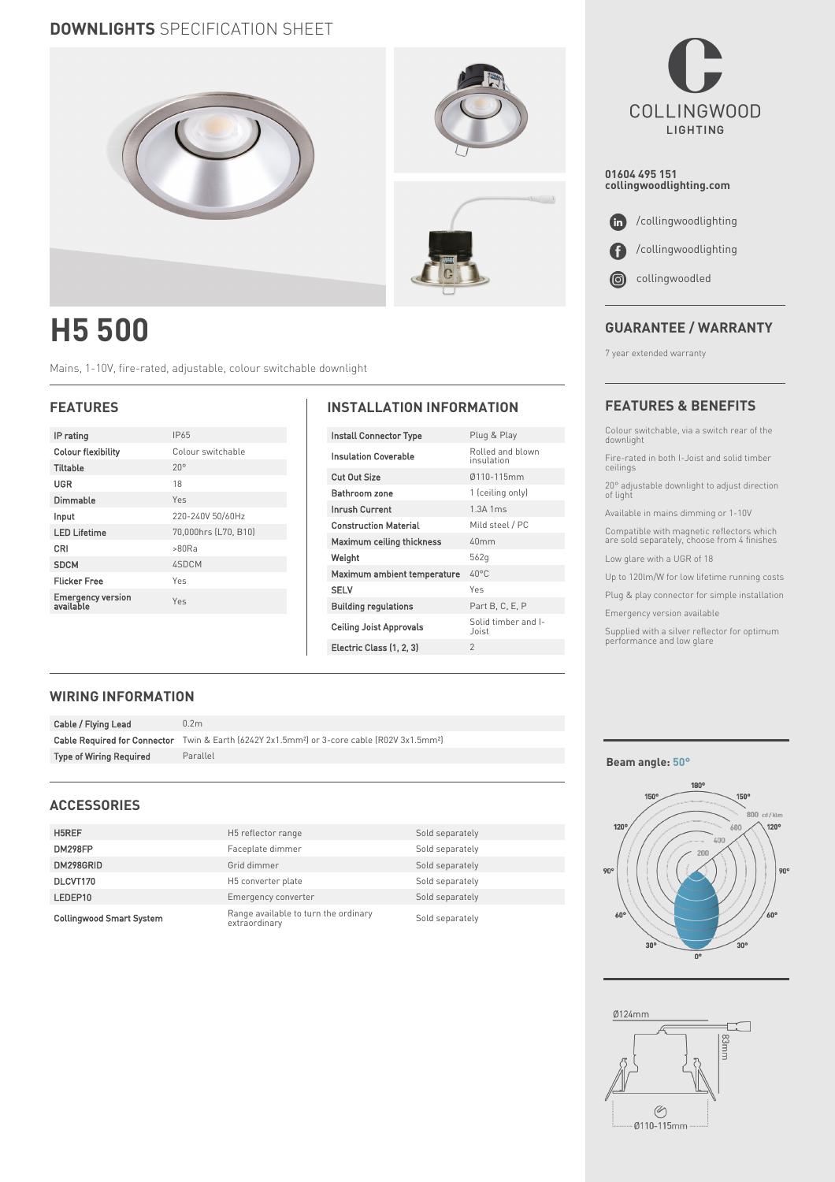## **DOWNLIGHTS** SPECIFICATION SHEET



# **H5 500**

Mains, 1-10V, fire-rated, adjustable, colour switchable downlight

| IP rating                      | IP65                 |
|--------------------------------|----------------------|
| <b>Colour flexibility</b>      | Colour switchable    |
| <b>Tiltable</b>                | $20^{\circ}$         |
| UGR                            | 18                   |
| Dimmable                       | $Y_{PS}$             |
| Input                          | 220-240V 50/60Hz     |
| <b>LED Lifetime</b>            | 70,000hrs (L70, B10) |
| CRI                            | >80Ra                |
| <b>SDCM</b>                    | 4SDCM                |
| <b>Flicker Free</b>            | Yes                  |
| Emergency version<br>available | Yes                  |
|                                |                      |

### **FEATURES INSTALLATION INFORMATION**

| Install Connector Type       | Plug & Play                    |  |  |  |
|------------------------------|--------------------------------|--|--|--|
| <b>Insulation Coverable</b>  | Rolled and blown<br>insulation |  |  |  |
| Cut Out Size                 | 0110-115mm                     |  |  |  |
| Bathroom zone                | 1 (ceiling only)               |  |  |  |
| <b>Inrush Current</b>        | 1.3A 1ms                       |  |  |  |
| <b>Construction Material</b> | Mild steel / PC                |  |  |  |
| Maximum ceiling thickness    | 40mm                           |  |  |  |
| Weight                       | 562g                           |  |  |  |
| Maximum ambient temperature  | $40^{\circ}$ C                 |  |  |  |
| <b>SELV</b>                  | Yes                            |  |  |  |
| <b>Building regulations</b>  | Part B. C. E. P                |  |  |  |
| Ceiling Joist Approvals      | Solid timber and I-<br>Joist   |  |  |  |
| Electric Class (1, 2, 3)     | $\mathfrak{D}$                 |  |  |  |
|                              |                                |  |  |  |



**01604 495 151 collingwoodlighting.com**



### **GUARANTEE / WARRANTY**

7 year extended warranty

#### **FEATURES & BENEFITS**

Colour switchable, via a switch rear of the downlight

Fire-rated in both I-Joist and solid timber ceilings

20° adjustable downlight to adjust direction of light

Available in mains dimming or 1-10V

Compatible with magnetic reflectors which are sold separately, choose from 4 finishes Low glare with a UGR of 18

Up to 120lm/W for low lifetime running costs

Plug & play connector for simple installation

Emergency version available

Supplied with a silver reflector for optimum performance and low glare

#### **WIRING INFORMATION**

| Cable / Flying Lead                 | 0.2 <sub>m</sub>                                                                        |
|-------------------------------------|-----------------------------------------------------------------------------------------|
| <b>Cable Required for Connector</b> | Twin & Earth (6242Y 2x1.5mm <sup>2</sup> ) or 3-core cable (R02V 3x1.5mm <sup>2</sup> ) |
| <b>Type of Wiring Required</b>      | Parallel                                                                                |

#### **ACCESSORIES**

| H5REF                           | H5 reflector range                                    | Sold separately |
|---------------------------------|-------------------------------------------------------|-----------------|
| DM298FP                         | Faceplate dimmer                                      | Sold separately |
| DM298GRID                       | Grid dimmer                                           | Sold separately |
| DLCVT170                        | H5 converter plate                                    | Sold separately |
| LEDEP10                         | Emergency converter                                   | Sold separately |
| <b>Collingwood Smart System</b> | Range available to turn the ordinary<br>extraordinary | Sold separately |

#### **Beam angle: 50°**